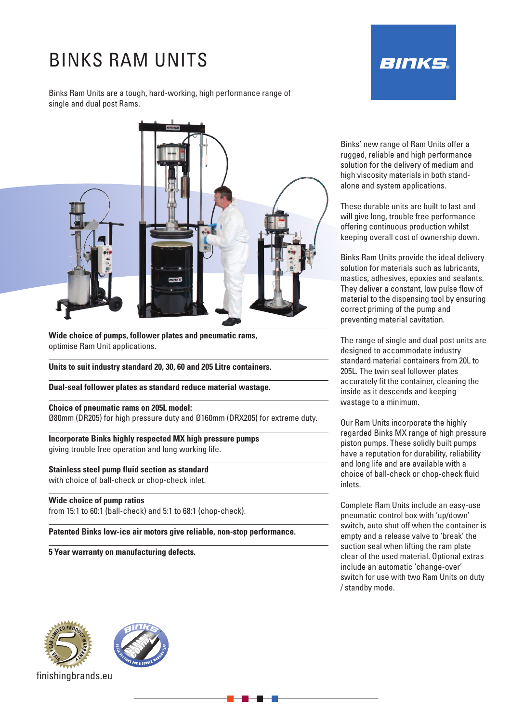# BINKS RAM UNITS

Binks Ram Units are a tough, hard-working, high performance range of single and dual post Rams.



**Wide choice of pumps, follower plates and pneumatic rams,** optimise Ram Unit applications.

**Units to suit industry standard 20, 30, 60 and 205 Litre containers.**

**Dual-seal follower plates as standard reduce material wastage.**

**Choice of pneumatic rams on 205L model:** Ø80mm (DR205) for high pressure duty and Ø160mm (DRX205) for extreme duty.

**Incorporate Binks highly respected MX high pressure pumps** giving trouble free operation and long working life.

**Stainless steel pump fluid section as standard** with choice of ball-check or chop-check inlet.

**Wide choice of pump ratios**

from 15:1 to 60:1 (ball-check) and 5:1 to 68:1 (chop-check).

**Patented Binks low-ice air motors give reliable, non-stop performance.**

**5 Year warranty on manufacturing defects.**



Binks' new range of Ram Units offer a rugged, reliable and high performance solution for the delivery of medium and high viscosity materials in both standalone and system applications.

These durable units are built to last and will give long, trouble free performance offering continuous production whilst keeping overall cost of ownership down.

Binks Ram Units provide the ideal delivery solution for materials such as lubricants, mastics, adhesives, epoxies and sealants. They deliver a constant, low pulse flow of material to the dispensing tool by ensuring correct priming of the pump and preventing material cavitation.

The range of single and dual post units are designed to accommodate industry standard material containers from 20L to 205L. The twin seal follower plates accurately fit the container, cleaning the inside as it descends and keeping wastage to a minimum.

Our Ram Units incorporate the highly regarded Binks MX range of high pressure piston pumps. These solidly built pumps have a reputation for durability, reliability and long life and are available with a choice of ball-check or chop-check fluid inlets.

Complete Ram Units include an easy-use pneumatic control box with 'up/down' switch, auto shut off when the container is empty and a release valve to 'break' the suction seal when lifting the ram plate clear of the used material. Optional extras include an automatic 'change-over' switch for use with two Ram Units on duty / standby mode.



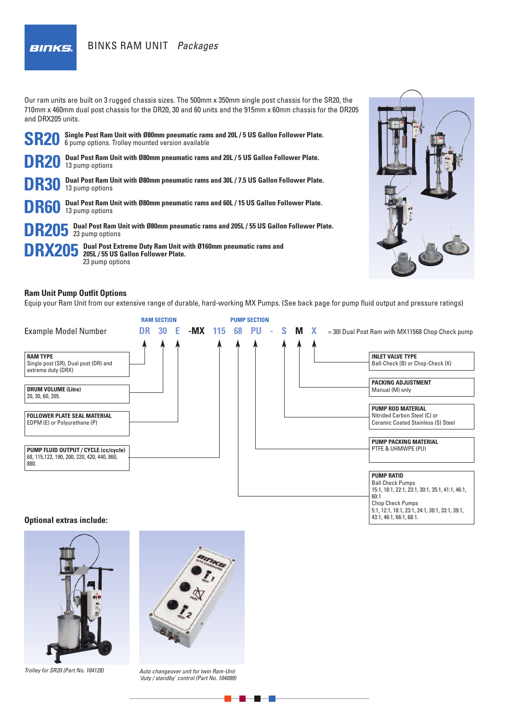**BINKS.** 

# BINKS RAM UNIT *Packages*

Our ram units are built on 3 rugged chassis sizes. The 500mm x 350mm single post chassis for the SR20, the 710mm x 460mm dual post chassis for the DR20, 30 and 60 units and the 915mm x 60mm chassis for the DR205 and DRX205 units.





#### **Ram Unit Pump Outfit Options**

Equip your Ram Unit from our extensive range of durable, hard-working MX Pumps. (See back page for pump fluid output and pressure ratings)



**Optional extras include:**



*Trolley for SR20 (Part No. 104128)*



*Auto changeover unit for twin Ram-Unit 'duty / standby' control (Part No. 104099)*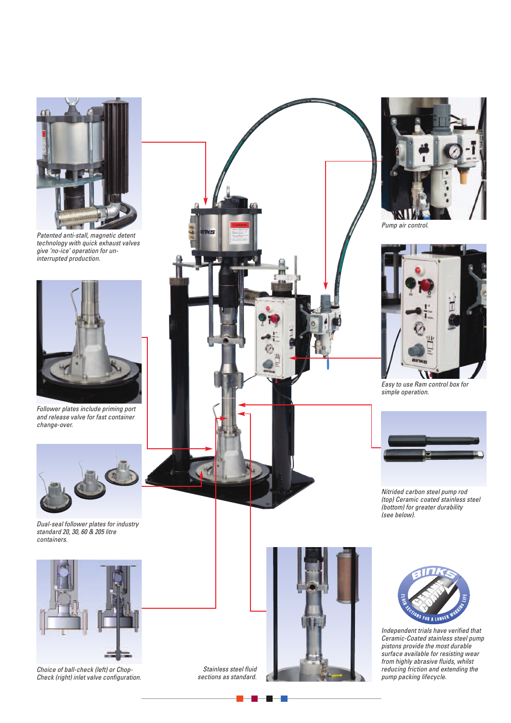

*Patented anti-stall, magnetic detent technology with quick exhaust valves give 'no-ice' operation for uninterrupted production.*



*Follower plates include priming port and release valve for fast container change-over.*



*Dual-seal follower plates for industry standard 20, 30, 60 & 205 litre containers.*



*Choice of ball-check (left) or Chop-Check (right) inlet valve configuration.*





*Pump air control.*



*Easy to use Ram control box for simple operation.*



*Nitrided carbon steel pump rod (top) Ceramic coated stainless steel (bottom) for greater durability (see below).*





*Independent trials have verified that Ceramic-Coated stainless steel pump pistons provide the most durable surface available for resisting wear from highly abrasive fluids, whilst reducing friction and extending the pump packing lifecycle.*

*Stainless steel fluid sections as standard.*

e k

 $\blacksquare$ 

-11